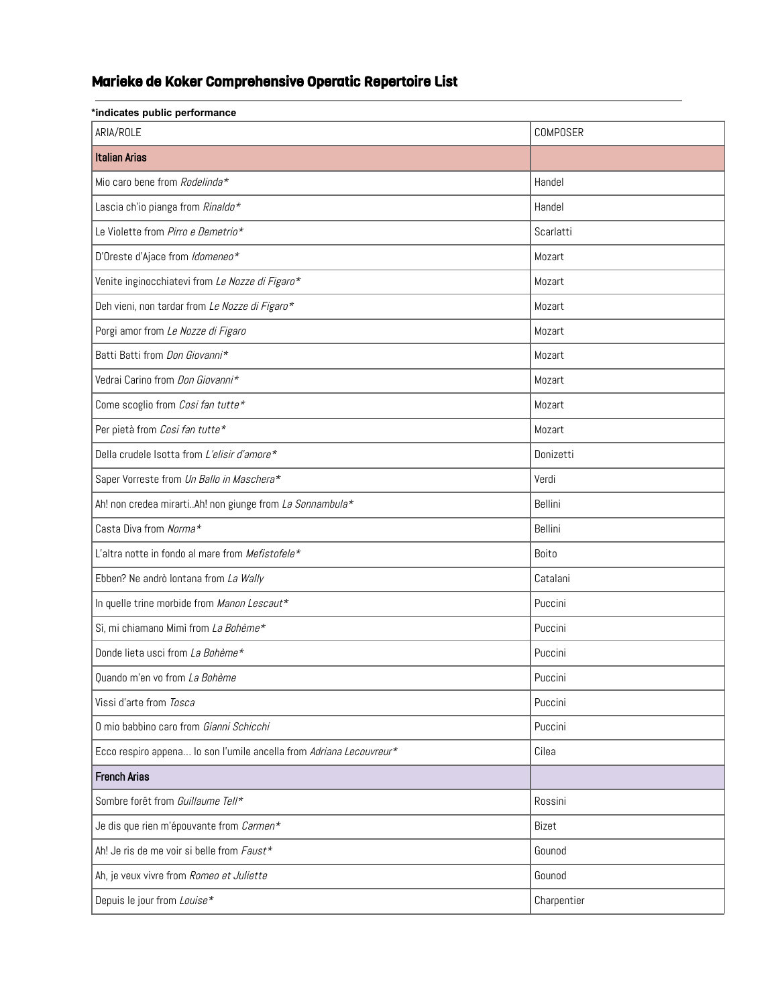## Marieke de Koker Comprehensive Operatic Repertoire List

| *indicates public performance                                       |             |  |
|---------------------------------------------------------------------|-------------|--|
| ARIA/ROLE                                                           | COMPOSER    |  |
| <b>Italian Arias</b>                                                |             |  |
| Mio caro bene from Rodelinda*                                       | Handel      |  |
| Lascia ch'io pianga from Rinaldo*                                   | Handel      |  |
| Le Violette from Pirro e Demetrio*                                  | Scarlatti   |  |
| D'Oreste d'Ajace from Idomeneo*                                     | Mozart      |  |
| Venite inginocchiatevi from Le Nozze di Figaro*                     | Mozart      |  |
| Deh vieni, non tardar from Le Nozze di Figaro*                      | Mozart      |  |
| Porgi amor from Le Nozze di Figaro                                  | Mozart      |  |
| Batti Batti from Don Giovanni*                                      | Mozart      |  |
| Vedrai Carino from Don Giovanni*                                    | Mozart      |  |
| Come scoglio from Cosi fan tutte*                                   | Mozart      |  |
| Per pietà from Cosi fan tutte*                                      | Mozart      |  |
| Della crudele Isotta from L'elisir d'amore*                         | Donizetti   |  |
| Saper Vorreste from Un Ballo in Maschera*                           | Verdi       |  |
| Ah! non credea mirartiAh! non giunge from La Sonnambula*            | Bellini     |  |
| Casta Diva from Norma*                                              | Bellini     |  |
| L'altra notte in fondo al mare from Mefistofele*                    | Boito       |  |
| Ebben? Ne andrò lontana from La Wally                               | Catalani    |  |
| In quelle trine morbide from Manon Lescaut*                         | Puccini     |  |
| Sì, mi chiamano Mimì from La Bohème*                                | Puccini     |  |
| Donde lieta usci from La Bohème*                                    | Puccini     |  |
| Quando m'en vo from La Bohème                                       | Puccini     |  |
| Vissi d'arte from Tosca                                             | Puccini     |  |
| O mio babbino caro from Gianni Schicchi                             | Puccini     |  |
| Ecco respiro appena lo son l'umile ancella from Adriana Lecouvreur* | Cilea       |  |
| <b>French Arias</b>                                                 |             |  |
| Sombre forêt from Guillaume Tell*                                   | Rossini     |  |
| Je dis que rien m'épouvante from Carmen*                            | Bizet       |  |
| Ah! Je ris de me voir si belle from Faust*                          | Gounod      |  |
| Ah, je veux vivre from Romeo et Juliette                            | Gounod      |  |
| Depuis le jour from Louise*                                         | Charpentier |  |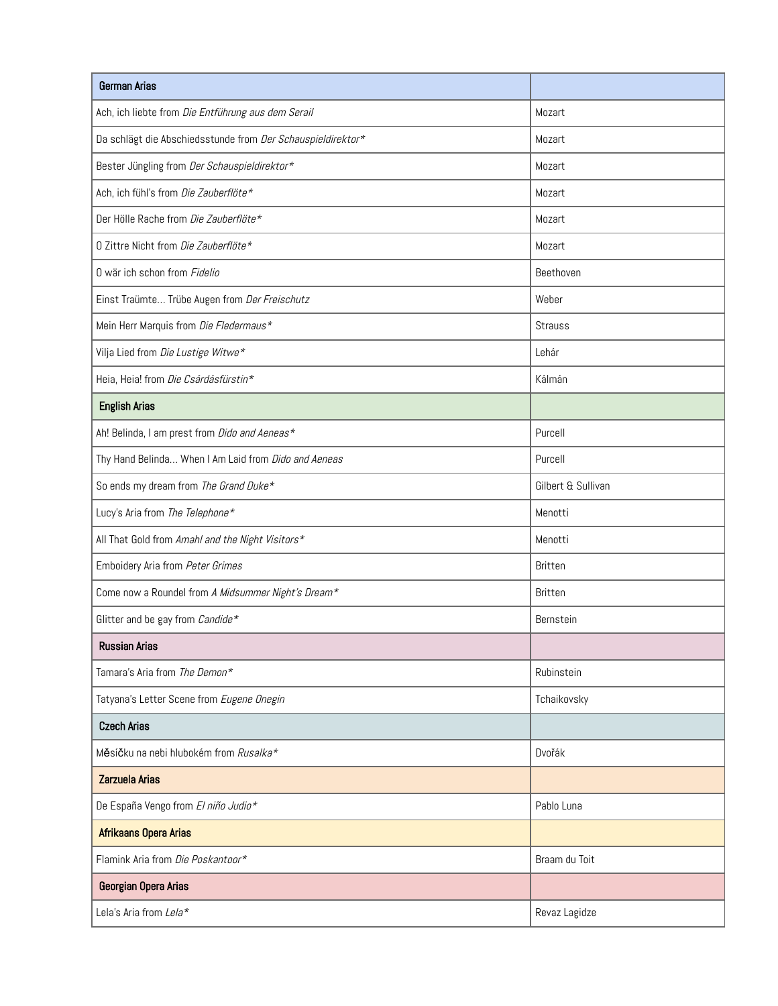| German Arias                                                |                    |
|-------------------------------------------------------------|--------------------|
| Ach, ich liebte from Die Entführung aus dem Serail          | Mozart             |
| Da schlägt die Abschiedsstunde from Der Schauspieldirektor* | Mozart             |
| Bester Jüngling from Der Schauspieldirektor*                | Mozart             |
| Ach, ich fühl's from Die Zauberflöte*                       | Mozart             |
| Der Hölle Rache from Die Zauberflöte*                       | Mozart             |
| 0 Zittre Nicht from Die Zauberflöte*                        | Mozart             |
| 0 wär ich schon from Fidelio                                | Beethoven          |
| Einst Traümte Trübe Augen from Der Freischutz               | Weber              |
| Mein Herr Marquis from Die Fledermaus*                      | <b>Strauss</b>     |
| Vilja Lied from Die Lustige Witwe*                          | Lehár              |
| Heia, Heia! from Die Csárdásfürstin*                        | Kálmán             |
| <b>English Arias</b>                                        |                    |
| Ah! Belinda, I am prest from Dido and Aeneas*               | Purcell            |
| Thy Hand Belinda When I Am Laid from Dido and Aeneas        | Purcell            |
| So ends my dream from The Grand Duke*                       | Gilbert & Sullivan |
| Lucy's Aria from The Telephone*                             | Menotti            |
| All That Gold from Amahl and the Night Visitors*            | Menotti            |
| Emboidery Aria from Peter Grimes                            | <b>Britten</b>     |
| Come now a Roundel from A Midsummer Night's Dream*          | <b>Britten</b>     |
| Glitter and be gay from Candide*                            | Bernstein          |
| <b>Russian Arias</b>                                        |                    |
| Tamara's Aria from The Demon*                               | Rubinstein         |
| Tatyana's Letter Scene from Eugene Onegin                   | Tchaikovsky        |
| <b>Czech Arias</b>                                          |                    |
| Měsíčku na nebi hlubokém from Rusalka*                      | Dvořák             |
| <b>Zarzuela Arias</b>                                       |                    |
| De España Vengo from El niño Judio*                         | Pablo Luna         |
| Afrikaans Opera Arias                                       |                    |
| Flamink Aria from Die Poskantoor*                           | Braam du Toit      |
| Georgian Opera Arias                                        |                    |
| Lela's Aria from Lela*                                      | Revaz Lagidze      |